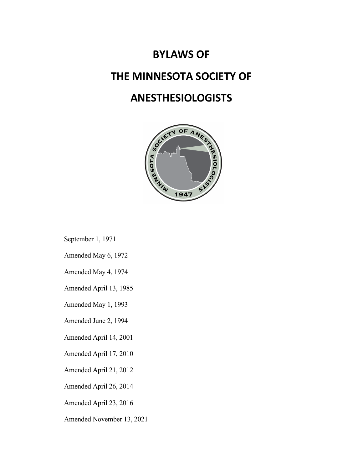# **BYLAWS OF THE MINNESOTA SOCIETY OF ANESTHESIOLOGISTS**



September 1, 1971

Amended May 6, 1972

Amended May 4, 1974

Amended April 13, 1985

Amended May 1, 1993

Amended June 2, 1994

Amended April 14, 2001

Amended April 17, 2010

Amended April 21, 2012

Amended April 26, 2014

Amended April 23, 2016

Amended November 13, 2021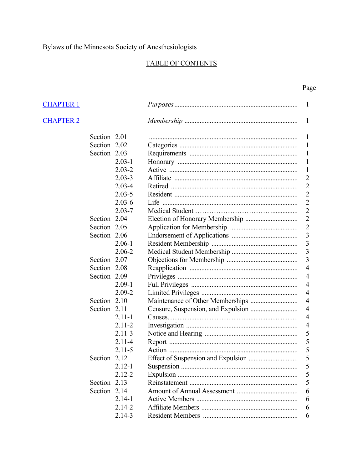# TABLE OF CONTENTS

| <b>CHAPTER 1</b> |              |            | $\mathbf{1}$            |
|------------------|--------------|------------|-------------------------|
| <b>CHAPTER 2</b> |              |            | $\mathbf{1}$            |
|                  | Section 2.01 |            | 1                       |
|                  | Section 2.02 |            | 1                       |
|                  | Section 2.03 |            | 1                       |
|                  |              | $2.03 - 1$ | $\mathbf{1}$            |
|                  |              | $2.03 - 2$ | $\mathbf{1}$            |
|                  |              | $2.03 - 3$ | $\overline{2}$          |
|                  |              | $2.03 - 4$ | $\overline{2}$          |
|                  |              | $2.03 - 5$ | $\overline{c}$          |
|                  |              | $2.03 - 6$ | $\overline{c}$          |
|                  |              | $2.03 - 7$ | $\overline{2}$          |
|                  | Section 2.04 |            | $\overline{2}$          |
|                  | Section 2.05 |            | $\overline{c}$          |
|                  | Section 2.06 |            | $\overline{3}$          |
|                  |              | $2.06 - 1$ | $\overline{\mathbf{3}}$ |
|                  |              | $2.06 - 2$ | $\overline{\mathbf{3}}$ |
|                  | Section 2.07 |            | $\overline{3}$          |
|                  | Section 2.08 |            | $\overline{4}$          |
|                  | Section 2.09 |            | $\overline{4}$          |
|                  |              | $2.09 - 1$ | $\overline{4}$          |
|                  |              | $2.09 - 2$ | $\overline{4}$          |
|                  | Section 2.10 |            | $\overline{4}$          |
|                  | Section 2.11 |            | 4                       |
|                  |              | $2.11 - 1$ | $\overline{4}$          |
|                  |              | $2.11 - 2$ | $\overline{4}$          |
|                  |              | $2.11 - 3$ | 5                       |
|                  |              | $2.11 - 4$ | 5                       |
|                  |              | $2.11 - 5$ | 5                       |
|                  | Section 2.12 |            | 5                       |
|                  |              | $2.12 - 1$ | 5                       |
|                  |              | $2.12 - 2$ | 5                       |
|                  | Section 2.13 |            | 5                       |
|                  | Section 2.14 |            | 6                       |
|                  |              | $2.14 - 1$ | 6                       |
|                  |              | $2.14 - 2$ | 6                       |
|                  |              | $2.14 - 3$ | 6                       |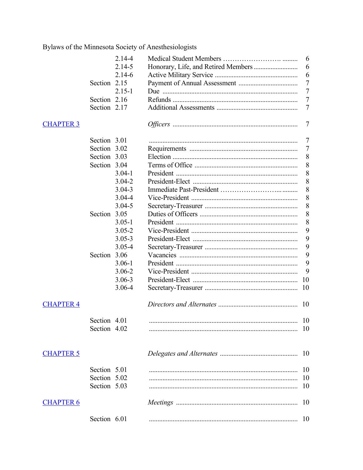|                  |              | $2.14 - 4$ | 6              |
|------------------|--------------|------------|----------------|
|                  |              | $2.14 - 5$ | 6              |
|                  |              | $2.14 - 6$ | 6              |
|                  | Section 2.15 |            | $\overline{7}$ |
|                  |              | $2.15 - 1$ | $\overline{7}$ |
|                  | Section 2.16 |            | $\overline{7}$ |
|                  | Section 2.17 |            | 7              |
| <b>CHAPTER 3</b> |              |            | $\overline{7}$ |
|                  | Section 3.01 |            | $\overline{7}$ |
|                  | Section 3.02 |            | 7              |
|                  | Section 3.03 |            | 8              |
|                  | Section 3.04 |            | 8              |
|                  |              | $3.04 - 1$ | 8              |
|                  |              | $3.04 - 2$ | 8              |
|                  |              | $3.04 - 3$ | 8              |
|                  |              | $3.04 - 4$ | 8              |
|                  |              | $3.04 - 5$ | 8              |
|                  | Section 3.05 |            | 8              |
|                  |              | $3.05 - 1$ | 8              |
|                  |              | $3.05 - 2$ | 9              |
|                  |              | $3.05 - 3$ | 9              |
|                  |              | $3.05 - 4$ | 9              |
|                  | Section 3.06 |            | 9              |
|                  |              | $3.06 - 1$ | 9              |
|                  |              | $3.06 - 2$ | 9              |
|                  |              | $3.06 - 3$ | 10             |
|                  |              | $3.06 - 4$ | 10             |
| <b>CHAPTER 4</b> |              |            | 10             |
|                  | Section 4.01 |            | -10            |
|                  | Section 4.02 |            |                |
| <b>CHAPTER 5</b> |              |            |                |
|                  | Section 5.01 |            | -10            |
|                  | Section 5.02 |            | 10             |
|                  | Section 5.03 |            | 10             |
| <b>CHAPTER 6</b> |              |            | 10             |
|                  | Section 6.01 |            | -10            |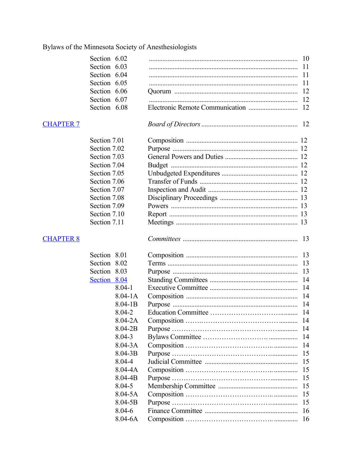|                  | Section 6.02 |             | 10  |
|------------------|--------------|-------------|-----|
|                  | Section 6.03 |             | 11  |
|                  | Section 6.04 |             | 11  |
|                  | Section 6.05 |             | 11  |
|                  | Section 6.06 |             | 12  |
|                  | Section 6.07 |             | 12  |
|                  | Section 6.08 |             | 12  |
| <b>CHAPTER 7</b> |              |             |     |
|                  | Section 7.01 |             |     |
|                  | Section 7.02 |             |     |
|                  | Section 7.03 |             |     |
|                  | Section 7.04 |             |     |
|                  | Section 7.05 |             |     |
|                  | Section 7.06 |             |     |
|                  | Section 7.07 |             |     |
|                  | Section 7.08 |             |     |
|                  | Section 7.09 |             |     |
|                  | Section 7.10 |             |     |
|                  | Section 7.11 |             |     |
| <b>CHAPTER 8</b> |              |             | 13  |
|                  | Section 8.01 |             | 13  |
|                  | Section 8.02 |             | 13  |
|                  | Section 8.03 |             | 13  |
|                  | Section 8.04 |             | 14  |
|                  |              | $8.04 - 1$  | 14  |
|                  |              | $8.04 - 1A$ | 14  |
|                  |              | $8.04 - 1B$ |     |
|                  |              | 8.04-2      |     |
|                  |              | $8.04 - 2A$ |     |
|                  |              | 8.04-2B     | 14  |
|                  |              | $8.04 - 3$  | 14  |
|                  |              | $8.04 - 3A$ | 14  |
|                  |              | $8.04 - 3B$ | 15  |
|                  |              | 8.04-4      | 15  |
|                  |              | $8.04 - 4A$ | 15  |
|                  |              | $8.04 - 4B$ | 15  |
|                  |              | $8.04 - 5$  | 15  |
|                  |              | $8.04 - 5A$ | 15  |
|                  |              | $8.04 - 5B$ | 15  |
|                  |              | 8.04-6      | 16  |
|                  |              | $8.04 - 6A$ | -16 |
|                  |              |             |     |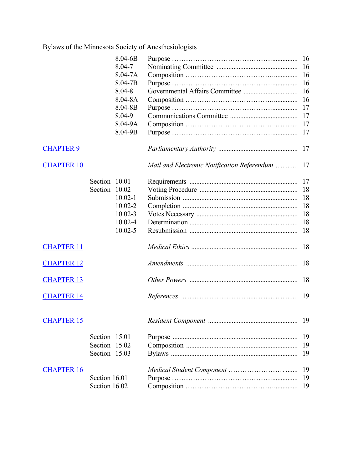|                   |               | $8.04 - 6B$ |                                                 |    |
|-------------------|---------------|-------------|-------------------------------------------------|----|
|                   |               | 8.04-7      |                                                 |    |
|                   |               | $8.04 - 7A$ |                                                 | 16 |
|                   |               | 8.04-7B     |                                                 | 16 |
|                   |               | $8.04 - 8$  |                                                 | 16 |
|                   |               | $8.04 - 8A$ |                                                 | 16 |
|                   |               | 8.04-8B     |                                                 |    |
|                   |               | 8.04-9      |                                                 |    |
|                   |               | 8.04-9A     |                                                 |    |
|                   |               | 8.04-9B     |                                                 |    |
| <b>CHAPTER 9</b>  |               |             |                                                 |    |
| <b>CHAPTER 10</b> |               |             | Mail and Electronic Notification Referendum  17 |    |
|                   | Section 10.01 |             |                                                 |    |
|                   | Section 10.02 |             |                                                 |    |
|                   |               | $10.02 - 1$ |                                                 | 18 |
|                   |               | $10.02 - 2$ |                                                 | 18 |
|                   |               | $10.02 - 3$ |                                                 | 18 |
|                   |               | $10.02 - 4$ |                                                 | 18 |
|                   |               | $10.02 - 5$ |                                                 | 18 |
| <b>CHAPTER 11</b> |               |             |                                                 | 18 |
| <b>CHAPTER 12</b> |               |             |                                                 | 18 |
| <b>CHAPTER 13</b> |               |             |                                                 | 18 |
| <b>CHAPTER 14</b> |               |             |                                                 |    |
| <b>CHAPTER 15</b> |               |             | Resident Component.                             | 19 |
|                   | Section 15.01 |             |                                                 | 19 |
|                   | Section 15.02 |             |                                                 | 19 |
|                   | Section 15.03 |             |                                                 | 19 |
| <b>CHAPTER 16</b> |               |             |                                                 | 19 |
|                   | Section 16.01 |             |                                                 | 19 |
|                   | Section 16.02 |             |                                                 | 19 |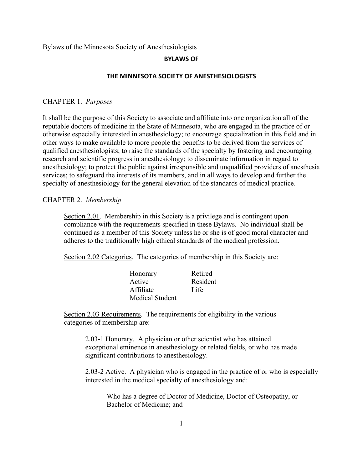#### **BYLAWS OF**

#### **THE MINNESOTA SOCIETY OF ANESTHESIOLOGISTS**

#### CHAPTER 1. *Purposes*

It shall be the purpose of this Society to associate and affiliate into one organization all of the reputable doctors of medicine in the State of Minnesota, who are engaged in the practice of or otherwise especially interested in anesthesiology; to encourage specialization in this field and in other ways to make available to more people the benefits to be derived from the services of qualified anesthesiologists; to raise the standards of the specialty by fostering and encouraging research and scientific progress in anesthesiology; to disseminate information in regard to anesthesiology; to protect the public against irresponsible and unqualified providers of anesthesia services; to safeguard the interests of its members, and in all ways to develop and further the specialty of anesthesiology for the general elevation of the standards of medical practice.

### CHAPTER 2. *Membership*

Section 2.01. Membership in this Society is a privilege and is contingent upon compliance with the requirements specified in these Bylaws. No individual shall be continued as a member of this Society unless he or she is of good moral character and adheres to the traditionally high ethical standards of the medical profession.

Section 2.02 Categories. The categories of membership in this Society are:

| Honorary               | Retired  |
|------------------------|----------|
| Active                 | Resident |
| Affiliate              | Life     |
| <b>Medical Student</b> |          |

Section 2.03 Requirements. The requirements for eligibility in the various categories of membership are:

2.03-1 Honorary. A physician or other scientist who has attained exceptional eminence in anesthesiology or related fields, or who has made significant contributions to anesthesiology.

2.03-2 Active. A physician who is engaged in the practice of or who is especially interested in the medical specialty of anesthesiology and:

Who has a degree of Doctor of Medicine, Doctor of Osteopathy, or Bachelor of Medicine; and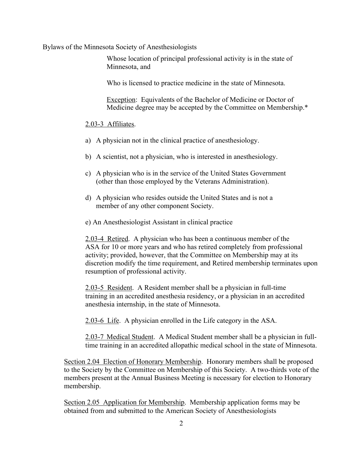Whose location of principal professional activity is in the state of Minnesota, and

Who is licensed to practice medicine in the state of Minnesota.

Exception: Equivalents of the Bachelor of Medicine or Doctor of Medicine degree may be accepted by the Committee on Membership.\*

#### 2.03-3 Affiliates.

- a) A physician not in the clinical practice of anesthesiology.
- b) A scientist, not a physician, who is interested in anesthesiology.
- c) A physician who is in the service of the United States Government (other than those employed by the Veterans Administration).
- d) A physician who resides outside the United States and is not a member of any other component Society.
- e) An Anesthesiologist Assistant in clinical practice

2.03-4 Retired. A physician who has been a continuous member of the ASA for 10 or more years and who has retired completely from professional activity; provided, however, that the Committee on Membership may at its discretion modify the time requirement, and Retired membership terminates upon resumption of professional activity.

2.03-5 Resident. A Resident member shall be a physician in full-time training in an accredited anesthesia residency, or a physician in an accredited anesthesia internship, in the state of Minnesota.

2.03-6 Life. A physician enrolled in the Life category in the ASA.

2.03-7 Medical Student. A Medical Student member shall be a physician in fulltime training in an accredited allopathic medical school in the state of Minnesota.

Section 2.04 Election of Honorary Membership. Honorary members shall be proposed to the Society by the Committee on Membership of this Society. A two-thirds vote of the members present at the Annual Business Meeting is necessary for election to Honorary membership.

Section 2.05 Application for Membership. Membership application forms may be obtained from and submitted to the American Society of Anesthesiologists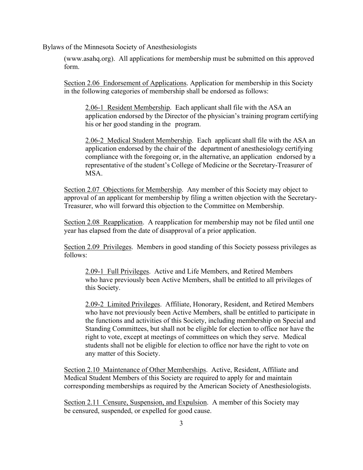(www.asahq.org). All applications for membership must be submitted on this approved form.

Section 2.06 Endorsement of Applications. Application for membership in this Society in the following categories of membership shall be endorsed as follows:

2.06-1 Resident Membership. Each applicant shall file with the ASA an application endorsed by the Director of the physician's training program certifying his or her good standing in the program.

2.06-2 Medical Student Membership. Each applicant shall file with the ASA an application endorsed by the chair of the department of anesthesiology certifying compliance with the foregoing or, in the alternative, an application endorsed by a representative of the student's College of Medicine or the Secretary-Treasurer of MSA.

Section 2.07 Objections for Membership. Any member of this Society may object to approval of an applicant for membership by filing a written objection with the Secretary-Treasurer, who will forward this objection to the Committee on Membership.

Section 2.08 Reapplication. A reapplication for membership may not be filed until one year has elapsed from the date of disapproval of a prior application.

Section 2.09 Privileges. Members in good standing of this Society possess privileges as follows:

2.09-1 Full Privileges. Active and Life Members, and Retired Members who have previously been Active Members, shall be entitled to all privileges of this Society.

2.09-2 Limited Privileges. Affiliate, Honorary, Resident, and Retired Members who have not previously been Active Members, shall be entitled to participate in the functions and activities of this Society, including membership on Special and Standing Committees, but shall not be eligible for election to office nor have the right to vote, except at meetings of committees on which they serve. Medical students shall not be eligible for election to office nor have the right to vote on any matter of this Society.

Section 2.10 Maintenance of Other Memberships. Active, Resident, Affiliate and Medical Student Members of this Society are required to apply for and maintain corresponding memberships as required by the American Society of Anesthesiologists.

Section 2.11 Censure, Suspension, and Expulsion. A member of this Society may be censured, suspended, or expelled for good cause.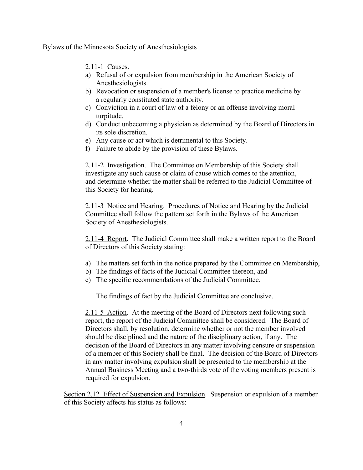2.11-1 Causes.

- a) Refusal of or expulsion from membership in the American Society of Anesthesiologists.
- b) Revocation or suspension of a member's license to practice medicine by a regularly constituted state authority.
- c) Conviction in a court of law of a felony or an offense involving moral turpitude.
- d) Conduct unbecoming a physician as determined by the Board of Directors in its sole discretion.
- e) Any cause or act which is detrimental to this Society.
- f) Failure to abide by the provision of these Bylaws.

2.11-2 Investigation. The Committee on Membership of this Society shall investigate any such cause or claim of cause which comes to the attention, and determine whether the matter shall be referred to the Judicial Committee of this Society for hearing.

2.11-3 Notice and Hearing. Procedures of Notice and Hearing by the Judicial Committee shall follow the pattern set forth in the Bylaws of the American Society of Anesthesiologists.

2.11-4 Report. The Judicial Committee shall make a written report to the Board of Directors of this Society stating:

- a) The matters set forth in the notice prepared by the Committee on Membership,
- b) The findings of facts of the Judicial Committee thereon, and
- c) The specific recommendations of the Judicial Committee.

The findings of fact by the Judicial Committee are conclusive.

2.11-5 Action. At the meeting of the Board of Directors next following such report, the report of the Judicial Committee shall be considered. The Board of Directors shall, by resolution, determine whether or not the member involved should be disciplined and the nature of the disciplinary action, if any. The decision of the Board of Directors in any matter involving censure or suspension of a member of this Society shall be final. The decision of the Board of Directors in any matter involving expulsion shall be presented to the membership at the Annual Business Meeting and a two-thirds vote of the voting members present is required for expulsion.

Section 2.12 Effect of Suspension and Expulsion. Suspension or expulsion of a member of this Society affects his status as follows: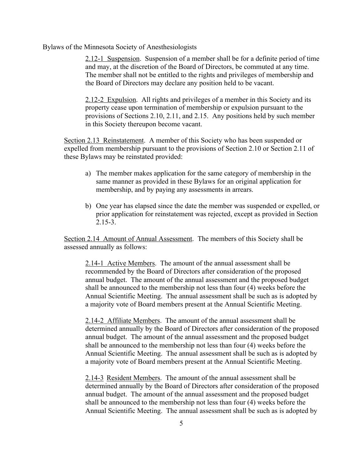2.12-1 Suspension. Suspension of a member shall be for a definite period of time and may, at the discretion of the Board of Directors, be commuted at any time. The member shall not be entitled to the rights and privileges of membership and the Board of Directors may declare any position held to be vacant.

2.12-2 Expulsion. All rights and privileges of a member in this Society and its property cease upon termination of membership or expulsion pursuant to the provisions of Sections 2.10, 2.11, and 2.15. Any positions held by such member in this Society thereupon become vacant.

Section 2.13 Reinstatement. A member of this Society who has been suspended or expelled from membership pursuant to the provisions of Section 2.10 or Section 2.11 of these Bylaws may be reinstated provided:

- a) The member makes application for the same category of membership in the same manner as provided in these Bylaws for an original application for membership, and by paying any assessments in arrears.
- b) One year has elapsed since the date the member was suspended or expelled, or prior application for reinstatement was rejected, except as provided in Section 2.15-3.

Section 2.14 Amount of Annual Assessment. The members of this Society shall be assessed annually as follows:

2.14-1 Active Members. The amount of the annual assessment shall be recommended by the Board of Directors after consideration of the proposed annual budget. The amount of the annual assessment and the proposed budget shall be announced to the membership not less than four (4) weeks before the Annual Scientific Meeting. The annual assessment shall be such as is adopted by a majority vote of Board members present at the Annual Scientific Meeting.

2.14-2 Affiliate Members. The amount of the annual assessment shall be determined annually by the Board of Directors after consideration of the proposed annual budget. The amount of the annual assessment and the proposed budget shall be announced to the membership not less than four (4) weeks before the Annual Scientific Meeting. The annual assessment shall be such as is adopted by a majority vote of Board members present at the Annual Scientific Meeting.

2.14-3 Resident Members. The amount of the annual assessment shall be determined annually by the Board of Directors after consideration of the proposed annual budget. The amount of the annual assessment and the proposed budget shall be announced to the membership not less than four (4) weeks before the Annual Scientific Meeting. The annual assessment shall be such as is adopted by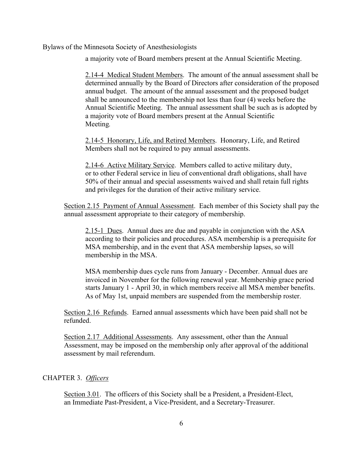a majority vote of Board members present at the Annual Scientific Meeting.

2.14-4 Medical Student Members. The amount of the annual assessment shall be determined annually by the Board of Directors after consideration of the proposed annual budget. The amount of the annual assessment and the proposed budget shall be announced to the membership not less than four (4) weeks before the Annual Scientific Meeting. The annual assessment shall be such as is adopted by a majority vote of Board members present at the Annual Scientific Meeting*.*

2.14-5 Honorary, Life, and Retired Members. Honorary, Life, and Retired Members shall not be required to pay annual assessments.

2.14-6 Active Military Service. Members called to active military duty, or to other Federal service in lieu of conventional draft obligations, shall have 50% of their annual and special assessments waived and shall retain full rights and privileges for the duration of their active military service.

Section 2.15 Payment of Annual Assessment. Each member of this Society shall pay the annual assessment appropriate to their category of membership.

2.15-1 Dues. Annual dues are due and payable in conjunction with the ASA according to their policies and procedures. ASA membership is a prerequisite for MSA membership, and in the event that ASA membership lapses, so will membership in the MSA.

MSA membership dues cycle runs from January - December. Annual dues are invoiced in November for the following renewal year. Membership grace period starts January 1 - April 30, in which members receive all MSA member benefits. As of May 1st, unpaid members are suspended from the membership roster.

Section 2.16 Refunds. Earned annual assessments which have been paid shall not be refunded.

Section 2.17 Additional Assessments. Any assessment, other than the Annual Assessment, may be imposed on the membership only after approval of the additional assessment by mail referendum.

#### CHAPTER 3. *Officers*

Section 3.01. The officers of this Society shall be a President, a President-Elect, an Immediate Past-President, a Vice-President, and a Secretary-Treasurer.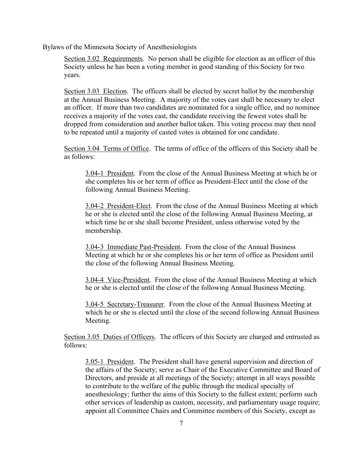Section 3.02 Requirements. No person shall be eligible for election as an officer of this Society unless he has been a voting member in good standing of this Society for two years.

Section 3.03 Election. The officers shall be elected by secret ballot by the membership at the Annual Business Meeting. A majority of the votes cast shall be necessary to elect an officer. If more than two candidates are nominated for a single office, and no nominee receives a majority of the votes cast, the candidate receiving the fewest votes shall be dropped from consideration and another ballot taken. This voting process may then need to be repeated until a majority of casted votes is obtained for one candidate.

Section 3.04 Terms of Office. The terms of office of the officers of this Society shall be as follows:

3.04-1 President. From the close of the Annual Business Meeting at which he or she completes his or her term of office as President-Elect until the close of the following Annual Business Meeting.

3.04-2 President-Elect. From the close of the Annual Business Meeting at which he or she is elected until the close of the following Annual Business Meeting, at which time he or she shall become President, unless otherwise voted by the membership.

3.04-3 Immediate Past-President. From the close of the Annual Business Meeting at which he or she completes his or her term of office as President until the close of the following Annual Business Meeting.

3.04-4 Vice-President. From the close of the Annual Business Meeting at which he or she is elected until the close of the following Annual Business Meeting.

3.04-5 Secretary-Treasurer. From the close of the Annual Business Meeting at which he or she is elected until the close of the second following Annual Business Meeting.

Section 3.05 Duties of Officers. The officers of this Society are charged and entrusted as follows:

3.05-1 President. The President shall have general supervision and direction of the affairs of the Society; serve as Chair of the Executive Committee and Board of Directors, and preside at all meetings of the Society; attempt in all ways possible to contribute to the welfare of the public through the medical specialty of anesthesiology; further the aims of this Society to the fullest extent; perform such other services of leadership as custom, necessity, and parliamentary usage require; appoint all Committee Chairs and Committee members of this Society, except as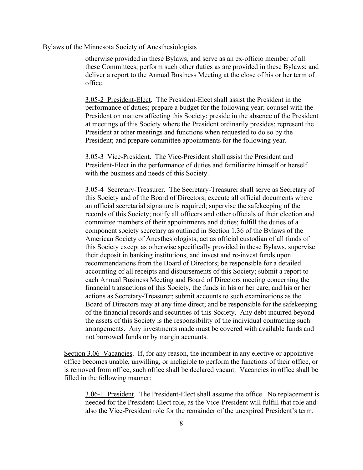otherwise provided in these Bylaws, and serve as an ex-officio member of all these Committees; perform such other duties as are provided in these Bylaws; and deliver a report to the Annual Business Meeting at the close of his or her term of office.

3.05-2 President-Elect. The President-Elect shall assist the President in the performance of duties; prepare a budget for the following year; counsel with the President on matters affecting this Society; preside in the absence of the President at meetings of this Society where the President ordinarily presides; represent the President at other meetings and functions when requested to do so by the President; and prepare committee appointments for the following year.

3.05-3 Vice-President. The Vice-President shall assist the President and President-Elect in the performance of duties and familiarize himself or herself with the business and needs of this Society.

3.05-4 Secretary-Treasurer. The Secretary-Treasurer shall serve as Secretary of this Society and of the Board of Directors; execute all official documents where an official secretarial signature is required; supervise the safekeeping of the records of this Society; notify all officers and other officials of their election and committee members of their appointments and duties; fulfill the duties of a component society secretary as outlined in Section 1.36 of the Bylaws of the American Society of Anesthesiologists; act as official custodian of all funds of this Society except as otherwise specifically provided in these Bylaws, supervise their deposit in banking institutions, and invest and re-invest funds upon recommendations from the Board of Directors; be responsible for a detailed accounting of all receipts and disbursements of this Society; submit a report to each Annual Business Meeting and Board of Directors meeting concerning the financial transactions of this Society, the funds in his or her care, and his or her actions as Secretary-Treasurer; submit accounts to such examinations as the Board of Directors may at any time direct; and be responsible for the safekeeping of the financial records and securities of this Society. Any debt incurred beyond the assets of this Society is the responsibility of the individual contracting such arrangements. Any investments made must be covered with available funds and not borrowed funds or by margin accounts.

Section 3.06 Vacancies. If, for any reason, the incumbent in any elective or appointive office becomes unable, unwilling, or ineligible to perform the functions of their office, or is removed from office, such office shall be declared vacant. Vacancies in office shall be filled in the following manner:

3.06-1 President. The President-Elect shall assume the office. No replacement is needed for the President-Elect role, as the Vice-President will fulfill that role and also the Vice-President role for the remainder of the unexpired President's term.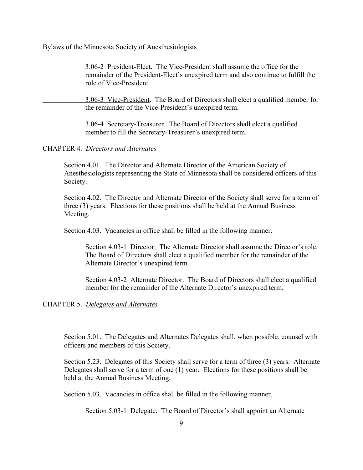3.06-2 President-Elect. The Vice-President shall assume the office for the remainder of the President-Elect's unexpired term and also continue to fulfill the role of Vice-President.

3.06-3 Vice-President. The Board of Directors shall elect a qualified member for the remainder of the Vice-President's unexpired term.

3.06-4 Secretary-Treasurer. The Board of Directors shall elect a qualified member to fill the Secretary-Treasurer's unexpired term.

### CHAPTER 4. *Directors and Alternates*

Section 4.01. The Director and Alternate Director of the American Society of Anesthesiologists representing the State of Minnesota shall be considered officers of this Society.

Section 4.02. The Director and Alternate Director of the Society shall serve for a term of three (3) years. Elections for these positions shall be held at the Annual Business Meeting.

Section 4.03. Vacancies in office shall be filled in the following manner.

Section 4.03-1 Director. The Alternate Director shall assume the Director's role. The Board of Directors shall elect a qualified member for the remainder of the Alternate Director's unexpired term.

Section 4.03-2 Alternate Director. The Board of Directors shall elect a qualified member for the remainder of the Alternate Director's unexpired term.

CHAPTER 5. *Delegates and Alternates*

Section 5.01. The Delegates and Alternates Delegates shall, when possible, counsel with officers and members of this Society.

Section 5.23. Delegates of this Society shall serve for a term of three (3) years. Alternate Delegates shall serve for a term of one (1) year. Elections for these positions shall be held at the Annual Business Meeting.

Section 5.03. Vacancies in office shall be filled in the following manner.

Section 5.03-1 Delegate. The Board of Director's shall appoint an Alternate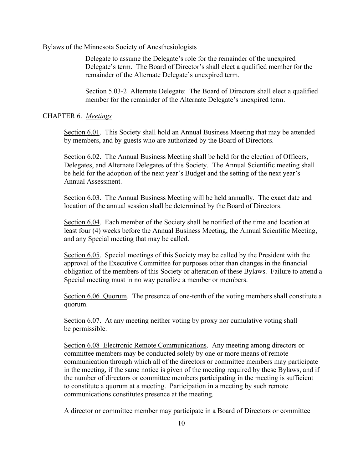Delegate to assume the Delegate's role for the remainder of the unexpired Delegate's term. The Board of Director's shall elect a qualified member for the remainder of the Alternate Delegate's unexpired term.

Section 5.03-2 Alternate Delegate: The Board of Directors shall elect a qualified member for the remainder of the Alternate Delegate's unexpired term.

#### CHAPTER 6. *Meetings*

Section 6.01. This Society shall hold an Annual Business Meeting that may be attended by members, and by guests who are authorized by the Board of Directors.

Section 6.02. The Annual Business Meeting shall be held for the election of Officers, Delegates, and Alternate Delegates of this Society. The Annual Scientific meeting shall be held for the adoption of the next year's Budget and the setting of the next year's Annual Assessment.

Section 6.03. The Annual Business Meeting will be held annually. The exact date and location of the annual session shall be determined by the Board of Directors.

Section 6.04. Each member of the Society shall be notified of the time and location at least four (4) weeks before the Annual Business Meeting, the Annual Scientific Meeting, and any Special meeting that may be called.

Section 6.05. Special meetings of this Society may be called by the President with the approval of the Executive Committee for purposes other than changes in the financial obligation of the members of this Society or alteration of these Bylaws. Failure to attend a Special meeting must in no way penalize a member or members.

Section 6.06 Quorum. The presence of one-tenth of the voting members shall constitute a quorum.

Section 6.07. At any meeting neither voting by proxy nor cumulative voting shall be permissible.

Section 6.08 Electronic Remote Communications. Any meeting among directors or committee members may be conducted solely by one or more means of remote communication through which all of the directors or committee members may participate in the meeting, if the same notice is given of the meeting required by these Bylaws, and if the number of directors or committee members participating in the meeting is sufficient to constitute a quorum at a meeting. Participation in a meeting by such remote communications constitutes presence at the meeting.

A director or committee member may participate in a Board of Directors or committee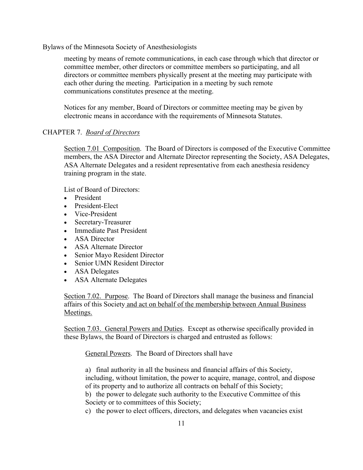meeting by means of remote communications, in each case through which that director or committee member, other directors or committee members so participating, and all directors or committee members physically present at the meeting may participate with each other during the meeting. Participation in a meeting by such remote communications constitutes presence at the meeting.

Notices for any member, Board of Directors or committee meeting may be given by electronic means in accordance with the requirements of Minnesota Statutes.

# CHAPTER 7. *Board of Directors*

Section 7.01 Composition. The Board of Directors is composed of the Executive Committee members, the ASA Director and Alternate Director representing the Society, ASA Delegates, ASA Alternate Delegates and a resident representative from each anesthesia residency training program in the state.

List of Board of Directors:

- President
- President-Elect
- Vice-President
- Secretary-Treasurer
- Immediate Past President
- ASA Director
- ASA Alternate Director
- Senior Mayo Resident Director
- Senior UMN Resident Director
- ASA Delegates
- ASA Alternate Delegates

Section 7.02. Purpose. The Board of Directors shall manage the business and financial affairs of this Society and act on behalf of the membership between Annual Business Meetings.

Section 7.03. General Powers and Duties. Except as otherwise specifically provided in these Bylaws, the Board of Directors is charged and entrusted as follows:

General Powers. The Board of Directors shall have

a) final authority in all the business and financial affairs of this Society, including, without limitation, the power to acquire, manage, control, and dispose of its property and to authorize all contracts on behalf of this Society; b) the power to delegate such authority to the Executive Committee of this Society or to committees of this Society;

c) the power to elect officers, directors, and delegates when vacancies exist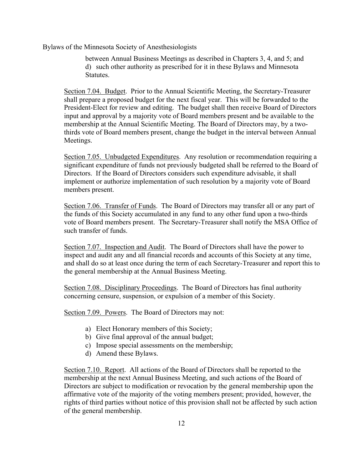between Annual Business Meetings as described in Chapters 3, 4, and 5; and d) such other authority as prescribed for it in these Bylaws and Minnesota Statutes.

Section 7.04. Budget. Prior to the Annual Scientific Meeting, the Secretary-Treasurer shall prepare a proposed budget for the next fiscal year. This will be forwarded to the President-Elect for review and editing. The budget shall then receive Board of Directors input and approval by a majority vote of Board members present and be available to the membership at the Annual Scientific Meeting. The Board of Directors may, by a twothirds vote of Board members present, change the budget in the interval between Annual Meetings.

Section 7.05. Unbudgeted Expenditures. Any resolution or recommendation requiring a significant expenditure of funds not previously budgeted shall be referred to the Board of Directors. If the Board of Directors considers such expenditure advisable, it shall implement or authorize implementation of such resolution by a majority vote of Board members present.

Section 7.06. Transfer of Funds. The Board of Directors may transfer all or any part of the funds of this Society accumulated in any fund to any other fund upon a two-thirds vote of Board members present. The Secretary-Treasurer shall notify the MSA Office of such transfer of funds.

Section 7.07. Inspection and Audit. The Board of Directors shall have the power to inspect and audit any and all financial records and accounts of this Society at any time, and shall do so at least once during the term of each Secretary-Treasurer and report this to the general membership at the Annual Business Meeting.

Section 7.08. Disciplinary Proceedings. The Board of Directors has final authority concerning censure, suspension, or expulsion of a member of this Society.

Section 7.09. Powers. The Board of Directors may not:

- a) Elect Honorary members of this Society;
- b) Give final approval of the annual budget;
- c) Impose special assessments on the membership;
- d) Amend these Bylaws.

Section 7.10. Report. All actions of the Board of Directors shall be reported to the membership at the next Annual Business Meeting, and such actions of the Board of Directors are subject to modification or revocation by the general membership upon the affirmative vote of the majority of the voting members present; provided, however, the rights of third parties without notice of this provision shall not be affected by such action of the general membership.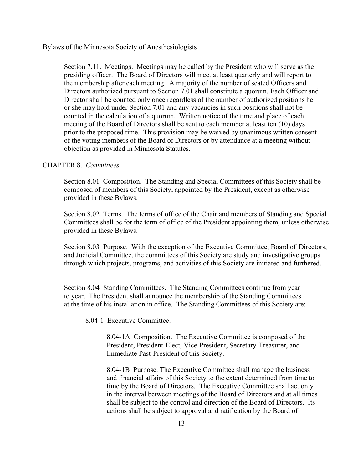Section 7.11. Meetings. Meetings may be called by the President who will serve as the presiding officer. The Board of Directors will meet at least quarterly and will report to the membership after each meeting. A majority of the number of seated Officers and Directors authorized pursuant to Section 7.01 shall constitute a quorum. Each Officer and Director shall be counted only once regardless of the number of authorized positions he or she may hold under Section 7.01 and any vacancies in such positions shall not be counted in the calculation of a quorum. Written notice of the time and place of each meeting of the Board of Directors shall be sent to each member at least ten (10) days prior to the proposed time. This provision may be waived by unanimous written consent of the voting members of the Board of Directors or by attendance at a meeting without objection as provided in Minnesota Statutes.

### CHAPTER 8. *Committees*

Section 8.01 Composition. The Standing and Special Committees of this Society shall be composed of members of this Society, appointed by the President, except as otherwise provided in these Bylaws.

Section 8.02 Terms. The terms of office of the Chair and members of Standing and Special Committees shall be for the term of office of the President appointing them, unless otherwise provided in these Bylaws.

Section 8.03 Purpose. With the exception of the Executive Committee, Board of Directors, and Judicial Committee, the committees of this Society are study and investigative groups through which projects, programs, and activities of this Society are initiated and furthered.

Section 8.04 Standing Committees. The Standing Committees continue from year to year. The President shall announce the membership of the Standing Committees at the time of his installation in office. The Standing Committees of this Society are:

8.04-1 Executive Committee.

8.04-1A Composition. The Executive Committee is composed of the President, President-Elect, Vice-President, Secretary-Treasurer, and Immediate Past-President of this Society.

8.04-1B Purpose. The Executive Committee shall manage the business and financial affairs of this Society to the extent determined from time to time by the Board of Directors. The Executive Committee shall act only in the interval between meetings of the Board of Directors and at all times shall be subject to the control and direction of the Board of Directors. Its actions shall be subject to approval and ratification by the Board of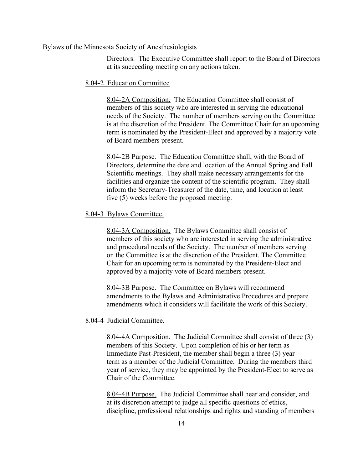Directors. The Executive Committee shall report to the Board of Directors at its succeeding meeting on any actions taken.

#### 8.04-2 Education Committee

8.04-2A Composition. The Education Committee shall consist of members of this society who are interested in serving the educational needs of the Society. The number of members serving on the Committee is at the discretion of the President. The Committee Chair for an upcoming term is nominated by the President-Elect and approved by a majority vote of Board members present.

8.04-2B Purpose. The Education Committee shall, with the Board of Directors, determine the date and location of the Annual Spring and Fall Scientific meetings. They shall make necessary arrangements for the facilities and organize the content of the scientific program. They shall inform the Secretary-Treasurer of the date, time, and location at least five (5) weeks before the proposed meeting.

#### 8.04-3 Bylaws Committee.

8.04-3A Composition. The Bylaws Committee shall consist of members of this society who are interested in serving the administrative and procedural needs of the Society. The number of members serving on the Committee is at the discretion of the President. The Committee Chair for an upcoming term is nominated by the President-Elect and approved by a majority vote of Board members present.

8.04-3B Purpose. The Committee on Bylaws will recommend amendments to the Bylaws and Administrative Procedures and prepare amendments which it considers will facilitate the work of this Society.

#### 8.04-4 Judicial Committee.

8.04-4A Composition. The Judicial Committee shall consist of three (3) members of this Society. Upon completion of his or her term as Immediate Past-President, the member shall begin a three (3) year term as a member of the Judicial Committee. During the members third year of service, they may be appointed by the President-Elect to serve as Chair of the Committee.

8.04-4B Purpose. The Judicial Committee shall hear and consider, and at its discretion attempt to judge all specific questions of ethics, discipline, professional relationships and rights and standing of members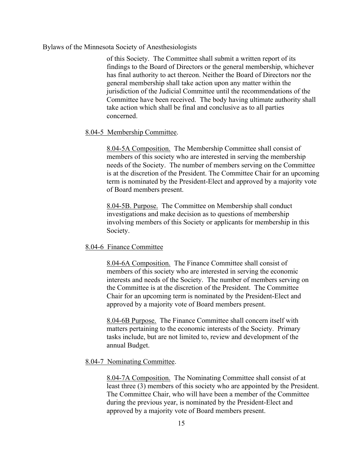of this Society. The Committee shall submit a written report of its findings to the Board of Directors or the general membership, whichever has final authority to act thereon. Neither the Board of Directors nor the general membership shall take action upon any matter within the jurisdiction of the Judicial Committee until the recommendations of the Committee have been received. The body having ultimate authority shall take action which shall be final and conclusive as to all parties concerned.

#### 8.04-5 Membership Committee.

8.04-5A Composition. The Membership Committee shall consist of members of this society who are interested in serving the membership needs of the Society. The number of members serving on the Committee is at the discretion of the President. The Committee Chair for an upcoming term is nominated by the President-Elect and approved by a majority vote of Board members present.

8.04-5B. Purpose. The Committee on Membership shall conduct investigations and make decision as to questions of membership involving members of this Society or applicants for membership in this Society.

#### 8.04-6 Finance Committee

8.04-6A Composition. The Finance Committee shall consist of members of this society who are interested in serving the economic interests and needs of the Society. The number of members serving on the Committee is at the discretion of the President. The Committee Chair for an upcoming term is nominated by the President-Elect and approved by a majority vote of Board members present.

8.04-6B Purpose. The Finance Committee shall concern itself with matters pertaining to the economic interests of the Society. Primary tasks include, but are not limited to, review and development of the annual Budget.

#### 8.04-7 Nominating Committee.

8.04-7A Composition. The Nominating Committee shall consist of at least three (3) members of this society who are appointed by the President. The Committee Chair, who will have been a member of the Committee during the previous year, is nominated by the President-Elect and approved by a majority vote of Board members present.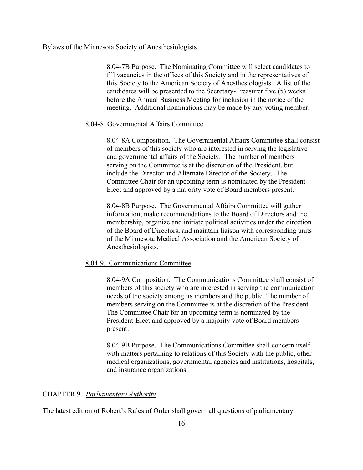8.04-7B Purpose. The Nominating Committee will select candidates to fill vacancies in the offices of this Society and in the representatives of this Society to the American Society of Anesthesiologists. A list of the candidates will be presented to the Secretary-Treasurer five (5) weeks before the Annual Business Meeting for inclusion in the notice of the meeting. Additional nominations may be made by any voting member.

#### 8.04-8 Governmental Affairs Committee.

8.04-8A Composition. The Governmental Affairs Committee shall consist of members of this society who are interested in serving the legislative and governmental affairs of the Society. The number of members serving on the Committee is at the discretion of the President, but include the Director and Alternate Director of the Society. The Committee Chair for an upcoming term is nominated by the President-Elect and approved by a majority vote of Board members present.

8.04-8B Purpose. The Governmental Affairs Committee will gather information, make recommendations to the Board of Directors and the membership, organize and initiate political activities under the direction of the Board of Directors, and maintain liaison with corresponding units of the Minnesota Medical Association and the American Society of Anesthesiologists.

#### 8.04-9. Communications Committee

8.04-9A Composition. The Communications Committee shall consist of members of this society who are interested in serving the communication needs of the society among its members and the public. The number of members serving on the Committee is at the discretion of the President. The Committee Chair for an upcoming term is nominated by the President-Elect and approved by a majority vote of Board members present.

8.04-9B Purpose. The Communications Committee shall concern itself with matters pertaining to relations of this Society with the public, other medical organizations, governmental agencies and institutions, hospitals, and insurance organizations.

#### CHAPTER 9. *Parliamentary Authority*

The latest edition of Robert's Rules of Order shall govern all questions of parliamentary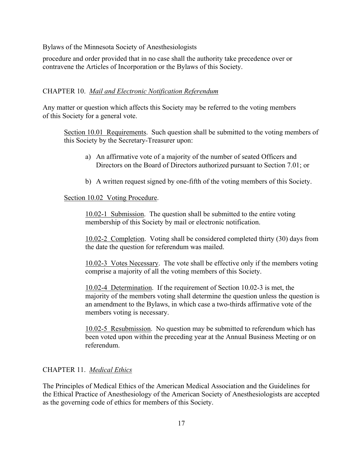procedure and order provided that in no case shall the authority take precedence over or contravene the Articles of Incorporation or the Bylaws of this Society.

### CHAPTER 10. *Mail and Electronic Notification Referendum*

Any matter or question which affects this Society may be referred to the voting members of this Society for a general vote.

Section 10.01 Requirements. Such question shall be submitted to the voting members of this Society by the Secretary-Treasurer upon:

- a) An affirmative vote of a majority of the number of seated Officers and Directors on the Board of Directors authorized pursuant to Section 7.01; or
- b) A written request signed by one-fifth of the voting members of this Society.

#### Section 10.02 Voting Procedure.

10.02-1 Submission. The question shall be submitted to the entire voting membership of this Society by mail or electronic notification.

10.02-2 Completion. Voting shall be considered completed thirty (30) days from the date the question for referendum was mailed.

10.02-3 Votes Necessary. The vote shall be effective only if the members voting comprise a majority of all the voting members of this Society.

10.02-4 Determination. If the requirement of Section 10.02-3 is met, the majority of the members voting shall determine the question unless the question is an amendment to the Bylaws, in which case a two-thirds affirmative vote of the members voting is necessary.

10.02-5 Resubmission. No question may be submitted to referendum which has been voted upon within the preceding year at the Annual Business Meeting or on referendum.

## CHAPTER 11. *Medical Ethics*

The Principles of Medical Ethics of the American Medical Association and the Guidelines for the Ethical Practice of Anesthesiology of the American Society of Anesthesiologists are accepted as the governing code of ethics for members of this Society.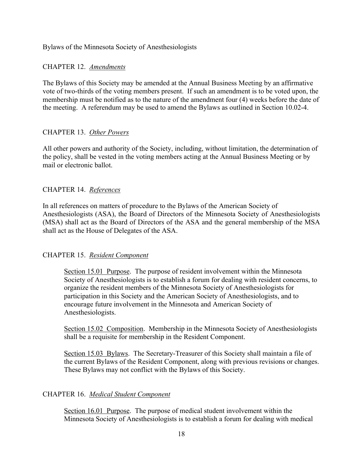# CHAPTER 12. *Amendments*

The Bylaws of this Society may be amended at the Annual Business Meeting by an affirmative vote of two-thirds of the voting members present. If such an amendment is to be voted upon, the membership must be notified as to the nature of the amendment four (4) weeks before the date of the meeting. A referendum may be used to amend the Bylaws as outlined in Section 10.02-4.

# CHAPTER 13. *Other Powers*

All other powers and authority of the Society, including, without limitation, the determination of the policy, shall be vested in the voting members acting at the Annual Business Meeting or by mail or electronic ballot.

# CHAPTER 14. *References*

In all references on matters of procedure to the Bylaws of the American Society of Anesthesiologists (ASA), the Board of Directors of the Minnesota Society of Anesthesiologists (MSA) shall act as the Board of Directors of the ASA and the general membership of the MSA shall act as the House of Delegates of the ASA.

# CHAPTER 15. *Resident Component*

Section 15.01 Purpose. The purpose of resident involvement within the Minnesota Society of Anesthesiologists is to establish a forum for dealing with resident concerns, to organize the resident members of the Minnesota Society of Anesthesiologists for participation in this Society and the American Society of Anesthesiologists, and to encourage future involvement in the Minnesota and American Society of Anesthesiologists.

Section 15.02 Composition. Membership in the Minnesota Society of Anesthesiologists shall be a requisite for membership in the Resident Component.

Section 15.03 Bylaws. The Secretary-Treasurer of this Society shall maintain a file of the current Bylaws of the Resident Component, along with previous revisions or changes. These Bylaws may not conflict with the Bylaws of this Society.

# CHAPTER 16. *Medical Student Component*

Section 16.01 Purpose. The purpose of medical student involvement within the Minnesota Society of Anesthesiologists is to establish a forum for dealing with medical